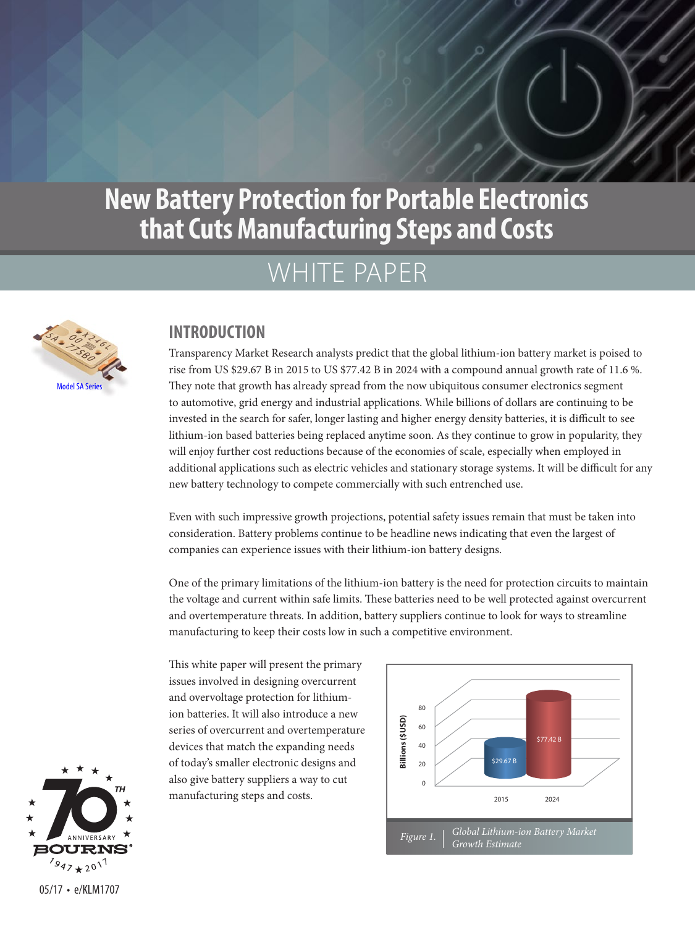# WHITE PAPER



#### **INTRODUCTION**

Transparency Market Research analysts predict that the global lithium-ion battery market is poised to rise from US \$29.67 B in 2015 to US \$77.42 B in 2024 with a compound annual growth rate of 11.6 %. They note that growth has already spread from the now ubiquitous consumer electronics segment to automotive, grid energy and industrial applications. While billions of dollars are continuing to be invested in the search for safer, longer lasting and higher energy density batteries, it is difficult to see lithium-ion based batteries being replaced anytime soon. As they continue to grow in popularity, they will enjoy further cost reductions because of the economies of scale, especially when employed in additional applications such as electric vehicles and stationary storage systems. It will be difficult for any new battery technology to compete commercially with such entrenched use.

Even with such impressive growth projections, potential safety issues remain that must be taken into consideration. Battery problems continue to be headline news indicating that even the largest of companies can experience issues with their lithium-ion battery designs.

One of the primary limitations of the lithium-ion battery is the need for protection circuits to maintain the voltage and current within safe limits. These batteries need to be well protected against overcurrent and overtemperature threats. In addition, battery suppliers continue to look for ways to streamline manufacturing to keep their costs low in such a competitive environment.

This white paper will present the primary issues involved in designing overcurrent and overvoltage protection for lithiumion batteries. It will also introduce a new series of overcurrent and overtemperature devices that match the expanding needs of today's smaller electronic designs and also give battery suppliers a way to cut manufacturing steps and costs.





05/17 • e/KLM1707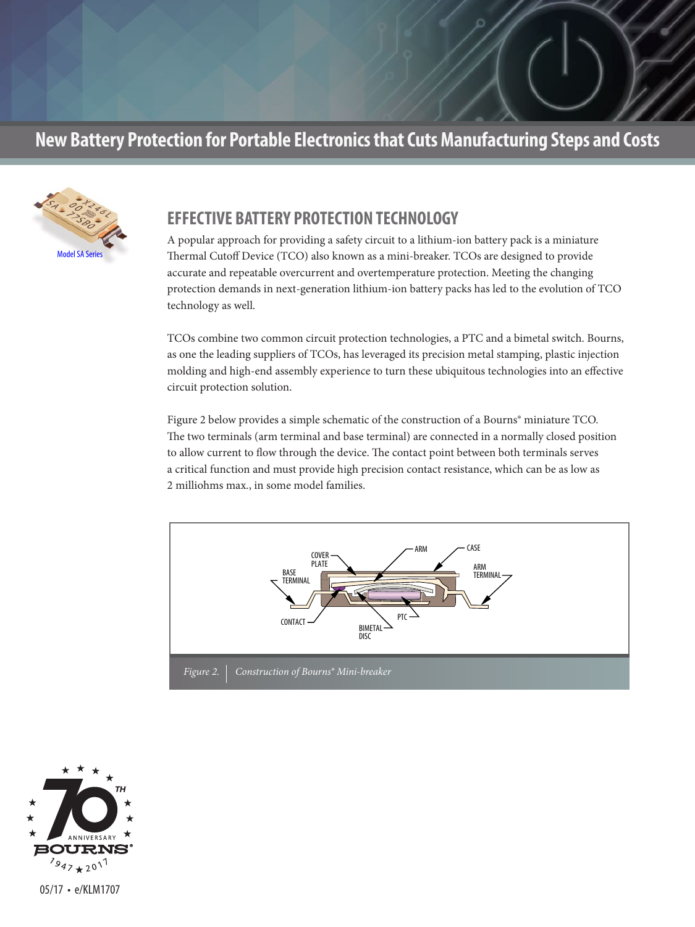

#### **EFFECTIVE BATTERY PROTECTION TECHNOLOGY**

A popular approach for providing a safety circuit to a lithium-ion battery pack is a miniature Thermal Cutoff Device (TCO) also known as a mini-breaker. TCOs are designed to provide accurate and repeatable overcurrent and overtemperature protection. Meeting the changing protection demands in next-generation lithium-ion battery packs has led to the evolution of TCO technology as well.

TCOs combine two common circuit protection technologies, a PTC and a bimetal switch. Bourns, as one the leading suppliers of TCOs, has leveraged its precision metal stamping, plastic injection molding and high-end assembly experience to turn these ubiquitous technologies into an effective circuit protection solution.

Figure 2 below provides a simple schematic of the construction of a Bourns® miniature TCO. The two terminals (arm terminal and base terminal) are connected in a normally closed position to allow current to flow through the device. The contact point between both terminals serves a critical function and must provide high precision contact resistance, which can be as low as 2 milliohms max., in some model families.



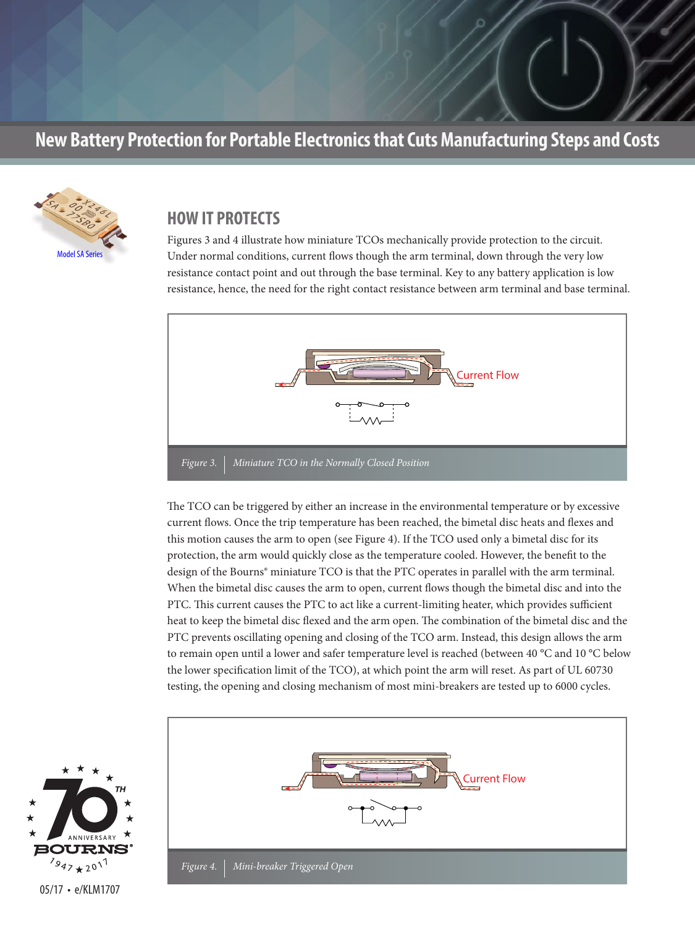

#### **HOW IT PROTECTS**

Figures 3 and 4 illustrate how miniature TCOs mechanically provide protection to the circuit. Under normal conditions, current flows though the arm terminal, down through the very low resistance contact point and out through the base terminal. Key to any battery application is low resistance, hence, the need for the right contact resistance between arm terminal and base terminal.



The TCO can be triggered by either an increase in the environmental temperature or by excessive current flows. Once the trip temperature has been reached, the bimetal disc heats and flexes and this motion causes the arm to open (see Figure 4). If the TCO used only a bimetal disc for its protection, the arm would quickly close as the temperature cooled. However, the benefit to the design of the Bourns® miniature TCO is that the PTC operates in parallel with the arm terminal. When the bimetal disc causes the arm to open, current flows though the bimetal disc and into the PTC. This current causes the PTC to act like a current-limiting heater, which provides sufficient heat to keep the bimetal disc flexed and the arm open. The combination of the bimetal disc and the PTC prevents oscillating opening and closing of the TCO arm. Instead, this design allows the arm to remain open until a lower and safer temperature level is reached (between 40 °C and 10 °C below the lower specification limit of the TCO), at which point the arm will reset. As part of UL 60730 testing, the opening and closing mechanism of most mini-breakers are tested up to 6000 cycles.



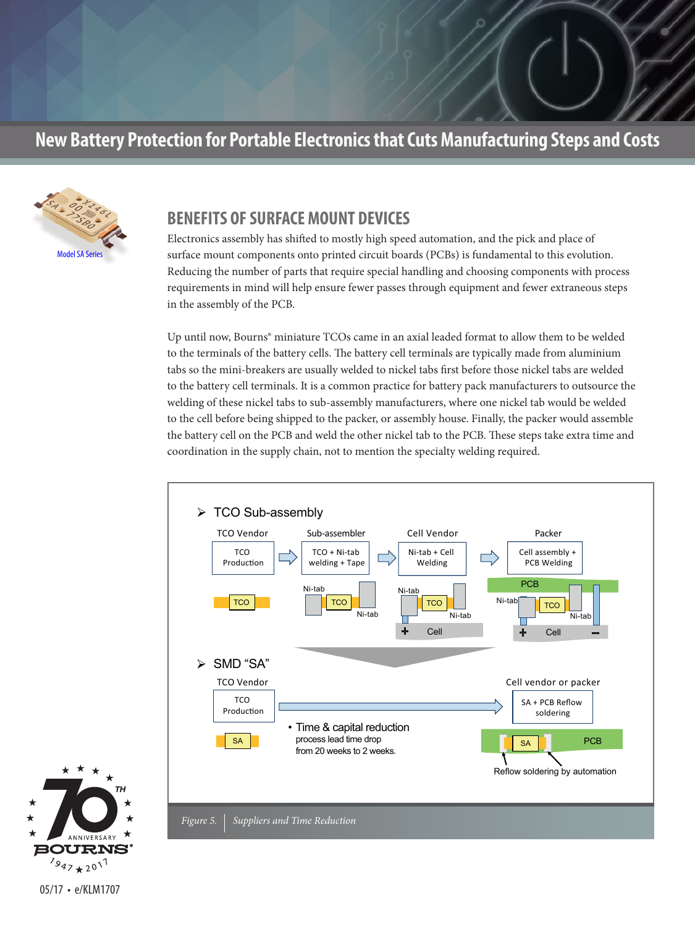

#### **BENEFITS OF SURFACE MOUNT DEVICES**

Electronics assembly has shifted to mostly high speed automation, and the pick and place of surface mount components onto printed circuit boards (PCBs) is fundamental to this evolution. Reducing the number of parts that require special handling and choosing components with process requirements in mind will help ensure fewer passes through equipment and fewer extraneous steps in the assembly of the PCB.

Up until now, Bourns® miniature TCOs came in an axial leaded format to allow them to be welded to the terminals of the battery cells. The battery cell terminals are typically made from aluminium tabs so the mini-breakers are usually welded to nickel tabs first before those nickel tabs are welded to the battery cell terminals. It is a common practice for battery pack manufacturers to outsource the welding of these nickel tabs to sub-assembly manufacturers, where one nickel tab would be welded to the cell before being shipped to the packer, or assembly house. Finally, the packer would assemble the battery cell on the PCB and weld the other nickel tab to the PCB. These steps take extra time and coordination in the supply chain, not to mention the specialty welding required.



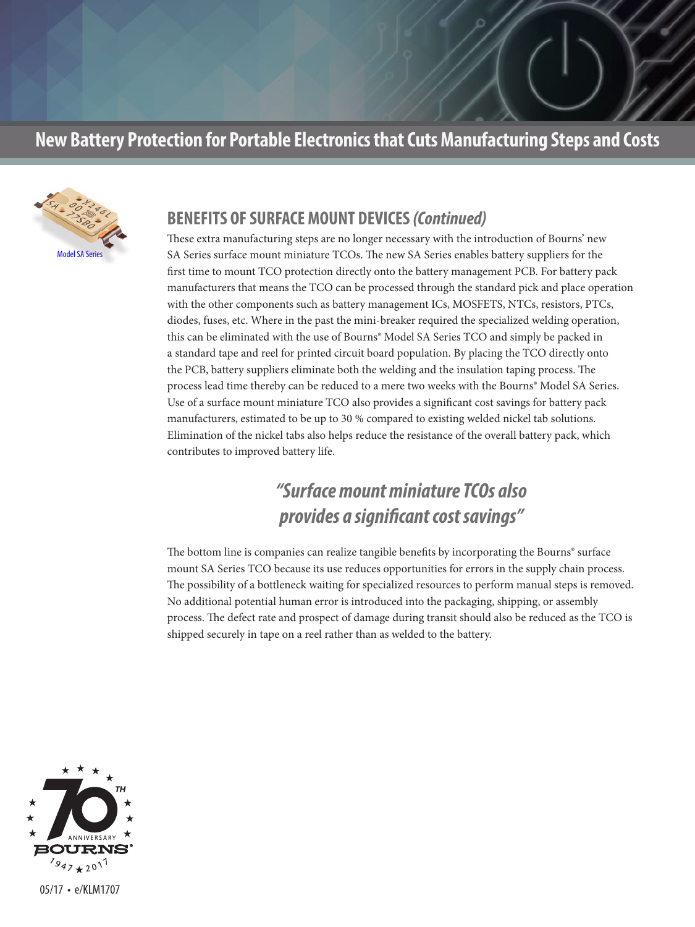

#### **BENEFITS OF SURFACE MOUNT DEVICES** *(Continued)*

These extra manufacturing steps are no longer necessary with the introduction of Bourns' new SA Series surface mount miniature TCOs. The new SA Series enables battery suppliers for the first time to mount TCO protection directly onto the battery management PCB. For battery pack manufacturers that means the TCO can be processed through the standard pick and place operation with the other components such as battery management ICs, MOSFETS, NTCs, resistors, PTCs, diodes, fuses, etc. Where in the past the mini-breaker required the specialized welding operation, this can be eliminated with the use of Bourns® Model SA Series TCO and simply be packed in a standard tape and reel for printed circuit board population. By placing the TCO directly onto the PCB, battery suppliers eliminate both the welding and the insulation taping process. The process lead time thereby can be reduced to a mere two weeks with the Bourns® Model SA Series. Use of a surface mount miniature TCO also provides a significant cost savings for battery pack manufacturers, estimated to be up to 30 % compared to existing welded nickel tab solutions. Elimination of the nickel tabs also helps reduce the resistance of the overall battery pack, which contributes to improved battery life.

# *"Surface mount miniature TCOs also provides a significant cost savings"*

The bottom line is companies can realize tangible benefits by incorporating the Bourns® surface mount SA Series TCO because its use reduces opportunities for errors in the supply chain process. The possibility of a bottleneck waiting for specialized resources to perform manual steps is removed. No additional potential human error is introduced into the packaging, shipping, or assembly process. The defect rate and prospect of damage during transit should also be reduced as the TCO is shipped securely in tape on a reel rather than as welded to the battery.



05/17 • e/KLM1707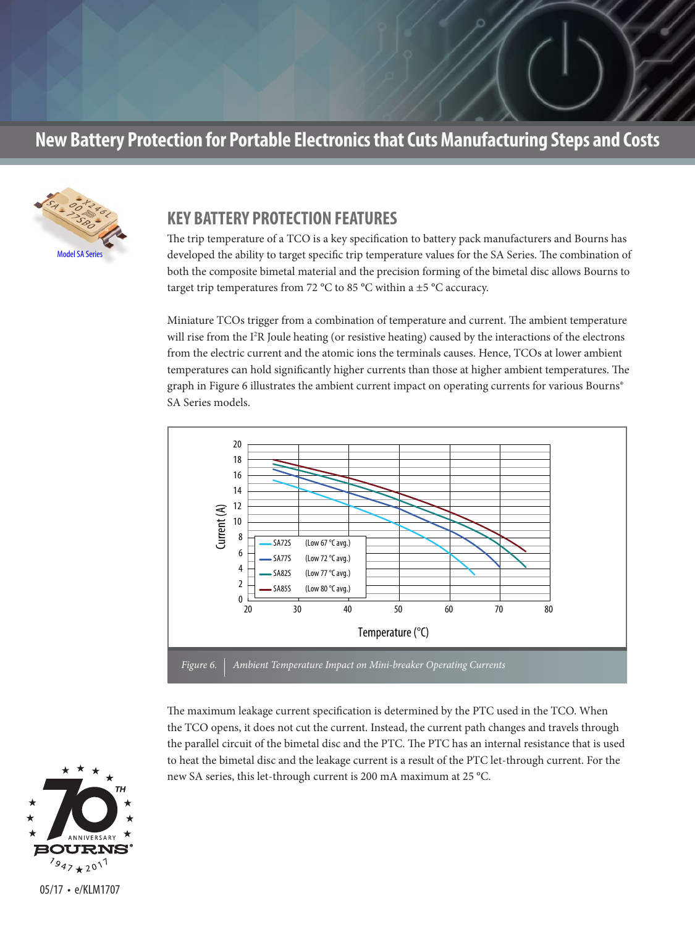

#### **KEY BATTERY PROTECTION FEATURES**

The trip temperature of a TCO is a key specification to battery pack manufacturers and Bourns has developed the ability to target specific trip temperature values for the SA Series. The combination of both the composite bimetal material and the precision forming of the bimetal disc allows Bourns to target trip temperatures from 72 °C to 85 °C within a  $\pm$ 5 °C accuracy.

Miniature TCOs trigger from a combination of temperature and current. The ambient temperature will rise from the I<sup>2</sup>R Joule heating (or resistive heating) caused by the interactions of the electrons from the electric current and the atomic ions the terminals causes. Hence, TCOs at lower ambient temperatures can hold significantly higher currents than those at higher ambient temperatures. The graph in Figure 6 illustrates the ambient current impact on operating currents for various Bourns® SA Series models.



The maximum leakage current specification is determined by the PTC used in the TCO. When the TCO opens, it does not cut the current. Instead, the current path changes and travels through the parallel circuit of the bimetal disc and the PTC. The PTC has an internal resistance that is used to heat the bimetal disc and the leakage current is a result of the PTC let-through current. For the new SA series, this let-through current is 200 mA maximum at 25 °C.

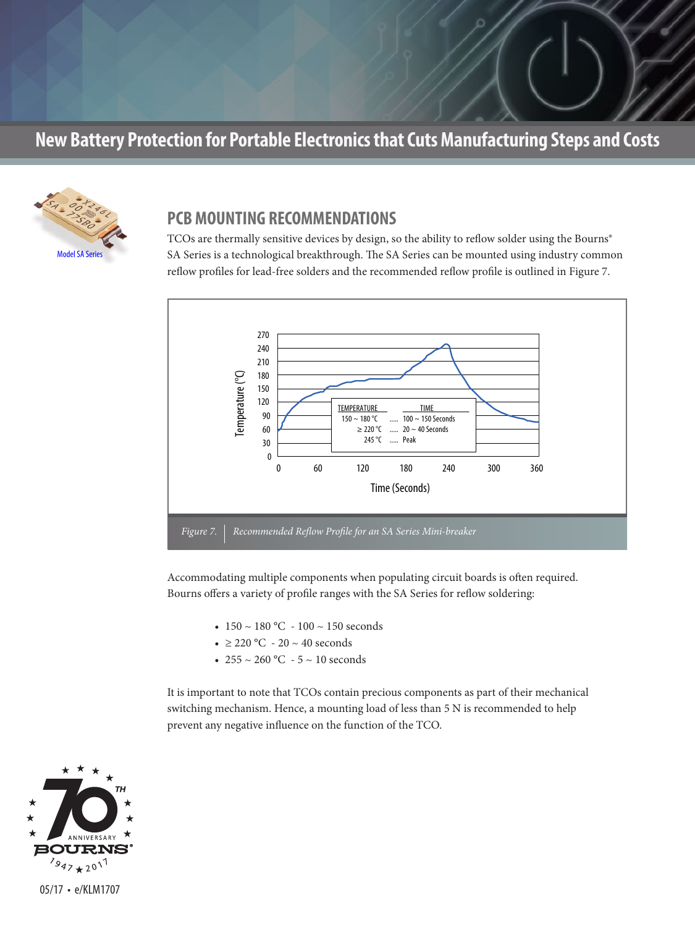

#### **PCB MOUNTING RECOMMENDATIONS**

TCOs are thermally sensitive devices by design, so the ability to reflow solder using the Bourns® SA Series is a technological breakthrough. The SA Series can be mounted using industry common reflow profiles for lead-free solders and the recommended reflow profile is outlined in Figure 7.



Accommodating multiple components when populating circuit boards is often required. Bourns offers a variety of profile ranges with the SA Series for reflow soldering:

- $150 \sim 180$  °C  $100 \sim 150$  seconds
- $\geq$  220 °C 20 ~ 40 seconds
- 255 ~ 260 °C 5 ~ 10 seconds

It is important to note that TCOs contain precious components as part of their mechanical switching mechanism. Hence, a mounting load of less than 5 N is recommended to help prevent any negative influence on the function of the TCO.